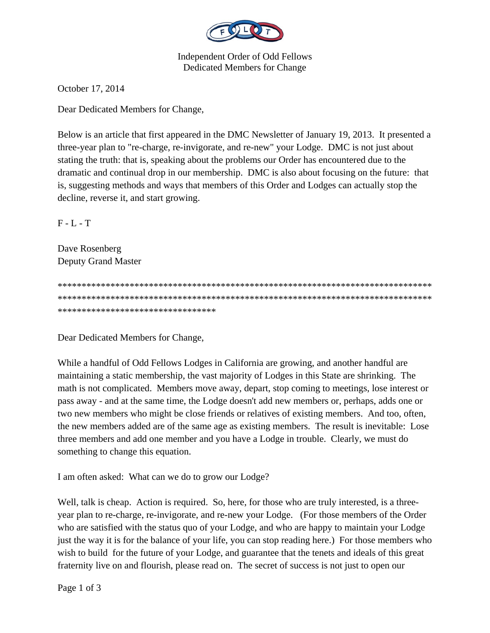

**Independent Order of Odd Fellows Dedicated Members for Change** 

October 17, 2014

Dear Dedicated Members for Change,

Below is an article that first appeared in the DMC Newsletter of January 19, 2013. It presented a three-year plan to "re-charge, re-invigorate, and re-new" your Lodge. DMC is not just about stating the truth: that is, speaking about the problems our Order has encountered due to the dramatic and continual drop in our membership. DMC is also about focusing on the future: that is, suggesting methods and ways that members of this Order and Lodges can actually stop the decline, reverse it, and start growing.

 $F - L - T$ 

Dave Rosenberg Deputy Grand Master

\*\*\*\*\*\*\*\*\*\*\*\*\*\*\*\*\*\*\*\*\*\*\*\*\*\*\*\*\*\*\*\*\*

Dear Dedicated Members for Change,

While a handful of Odd Fellows Lodges in California are growing, and another handful are maintaining a static membership, the vast majority of Lodges in this State are shrinking. The math is not complicated. Members move away, depart, stop coming to meetings, lose interest or pass away - and at the same time, the Lodge doesn't add new members or, perhaps, adds one or two new members who might be close friends or relatives of existing members. And too, often, the new members added are of the same age as existing members. The result is inevitable: Lose three members and add one member and you have a Lodge in trouble. Clearly, we must do something to change this equation.

I am often asked: What can we do to grow our Lodge?

Well, talk is cheap. Action is required. So, here, for those who are truly interested, is a threeyear plan to re-charge, re-invigorate, and re-new your Lodge. (For those members of the Order who are satisfied with the status quo of your Lodge, and who are happy to maintain your Lodge just the way it is for the balance of your life, you can stop reading here.) For those members who wish to build for the future of your Lodge, and guarantee that the tenets and ideals of this great fraternity live on and flourish, please read on. The secret of success is not just to open our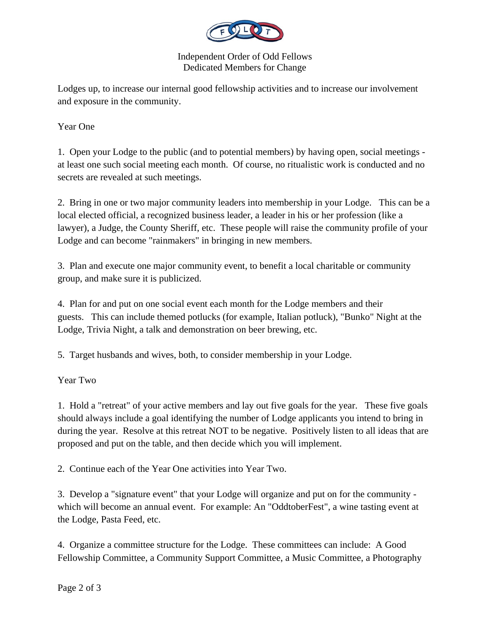

Independent Order of Odd Fellows Dedicated Members for Change

Lodges up, to increase our internal good fellowship activities and to increase our involvement and exposure in the community.

Year One

1. Open your Lodge to the public (and to potential members) by having open, social meetings at least one such social meeting each month. Of course, no ritualistic work is conducted and no secrets are revealed at such meetings.

2. Bring in one or two major community leaders into membership in your Lodge. This can be a local elected official, a recognized business leader, a leader in his or her profession (like a lawyer), a Judge, the County Sheriff, etc. These people will raise the community profile of your Lodge and can become "rainmakers" in bringing in new members.

3. Plan and execute one major community event, to benefit a local charitable or community group, and make sure it is publicized.

4. Plan for and put on one social event each month for the Lodge members and their guests. This can include themed potlucks (for example, Italian potluck), "Bunko" Night at the Lodge, Trivia Night, a talk and demonstration on beer brewing, etc.

5. Target husbands and wives, both, to consider membership in your Lodge.

Year Two

1. Hold a "retreat" of your active members and lay out five goals for the year. These five goals should always include a goal identifying the number of Lodge applicants you intend to bring in during the year. Resolve at this retreat NOT to be negative. Positively listen to all ideas that are proposed and put on the table, and then decide which you will implement.

2. Continue each of the Year One activities into Year Two.

3. Develop a "signature event" that your Lodge will organize and put on for the community which will become an annual event. For example: An "OddtoberFest", a wine tasting event at the Lodge, Pasta Feed, etc.

4. Organize a committee structure for the Lodge. These committees can include: A Good Fellowship Committee, a Community Support Committee, a Music Committee, a Photography